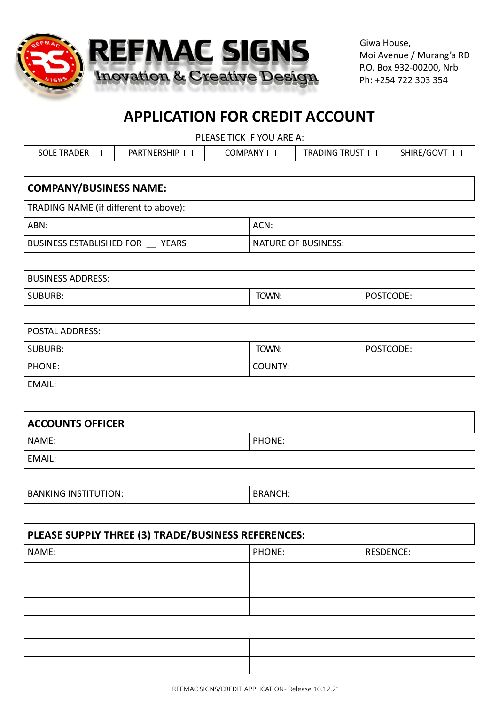

Giwa House, Moi Avenue / Murang'a RD P.O. Box 932-00200, Nrb Ph: +254 722 303 354

# **APPLICATION FOR CREDIT ACCOUNT**

| PLEASE TICK IF YOU ARE A:             |                |                            |            |  |
|---------------------------------------|----------------|----------------------------|------------|--|
| PARTNERSHIP<br>SOLE TRADER $\Box$     | COMPANY O      | TRADING TRUST $\Box$       | SHIRE/GOVT |  |
|                                       |                |                            |            |  |
| <b>COMPANY/BUSINESS NAME:</b>         |                |                            |            |  |
| TRADING NAME (if different to above): |                |                            |            |  |
| ABN:                                  | ACN:           |                            |            |  |
| BUSINESS ESTABLISHED FOR __ YEARS     |                | <b>NATURE OF BUSINESS:</b> |            |  |
|                                       |                |                            |            |  |
| <b>BUSINESS ADDRESS:</b>              |                |                            |            |  |
| <b>SUBURB:</b>                        | TOWN:          |                            | POSTCODE:  |  |
|                                       |                |                            |            |  |
| <b>POSTAL ADDRESS:</b>                |                |                            |            |  |
| <b>SUBURB:</b>                        | TOWN:          |                            | POSTCODE:  |  |
| PHONE:                                | COUNTY:        |                            |            |  |
| EMAIL:                                |                |                            |            |  |
|                                       |                |                            |            |  |
| <b>ACCOUNTS OFFICER</b>               |                |                            |            |  |
| NAME:                                 | PHONE:         |                            |            |  |
| EMAIL:                                |                |                            |            |  |
|                                       |                |                            |            |  |
| <b>BANKING INSTITUTION:</b>           | <b>BRANCH:</b> |                            |            |  |
|                                       |                |                            |            |  |
|                                       |                |                            |            |  |

| PLEASE SUPPLY THREE (3) TRADE/BUSINESS REFERENCES: |               |           |  |
|----------------------------------------------------|---------------|-----------|--|
| NAME:                                              | <b>PHONE:</b> | RESDENCE: |  |
|                                                    |               |           |  |
|                                                    |               |           |  |
|                                                    |               |           |  |
|                                                    |               |           |  |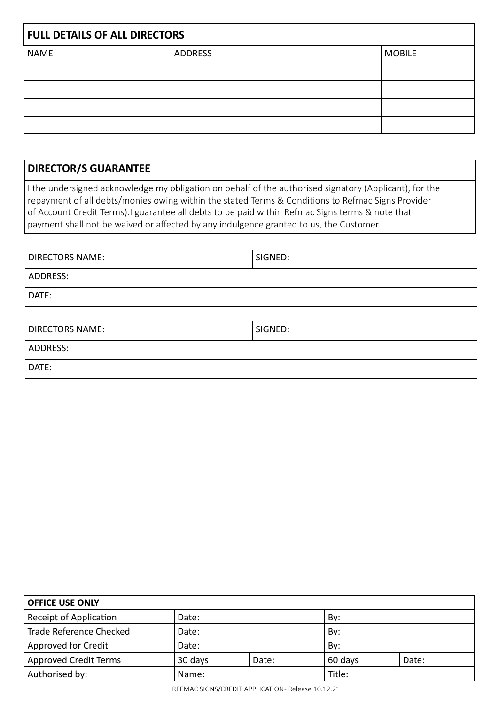| <b>FULL DETAILS OF ALL DIRECTORS</b> |                |               |  |
|--------------------------------------|----------------|---------------|--|
| <b>NAME</b>                          | <b>ADDRESS</b> | <b>MOBILE</b> |  |
|                                      |                |               |  |
|                                      |                |               |  |
|                                      |                |               |  |
|                                      |                |               |  |

| <b>DIRECTOR/S GUARANTEE</b>                                                                                                                                                                                                                                                                                                                                                                               |         |  |  |
|-----------------------------------------------------------------------------------------------------------------------------------------------------------------------------------------------------------------------------------------------------------------------------------------------------------------------------------------------------------------------------------------------------------|---------|--|--|
| I the undersigned acknowledge my obligation on behalf of the authorised signatory (Applicant), for the<br>repayment of all debts/monies owing within the stated Terms & Conditions to Refmac Signs Provider<br>of Account Credit Terms). I guarantee all debts to be paid within Refmac Signs terms & note that<br>payment shall not be waived or affected by any indulgence granted to us, the Customer. |         |  |  |
|                                                                                                                                                                                                                                                                                                                                                                                                           |         |  |  |
| DIRECTORS NAME:                                                                                                                                                                                                                                                                                                                                                                                           | SIGNED: |  |  |
| ADDRESS:                                                                                                                                                                                                                                                                                                                                                                                                  |         |  |  |
| DATE:                                                                                                                                                                                                                                                                                                                                                                                                     |         |  |  |
|                                                                                                                                                                                                                                                                                                                                                                                                           |         |  |  |
| DIRECTORS NAME:                                                                                                                                                                                                                                                                                                                                                                                           | SIGNED: |  |  |

| ADDRESS: |  |
|----------|--|
|----------|--|

DATE:

| <b>OFFICE USE ONLY</b>        |         |       |         |       |  |
|-------------------------------|---------|-------|---------|-------|--|
| <b>Receipt of Application</b> | Date:   |       | By:     |       |  |
| Trade Reference Checked       | Date:   |       | By:     |       |  |
| Approved for Credit           | Date:   |       | By:     |       |  |
| Approved Credit Terms         | 30 days | Date: | 60 days | Date: |  |
| Authorised by:                | Name:   |       | Title:  |       |  |